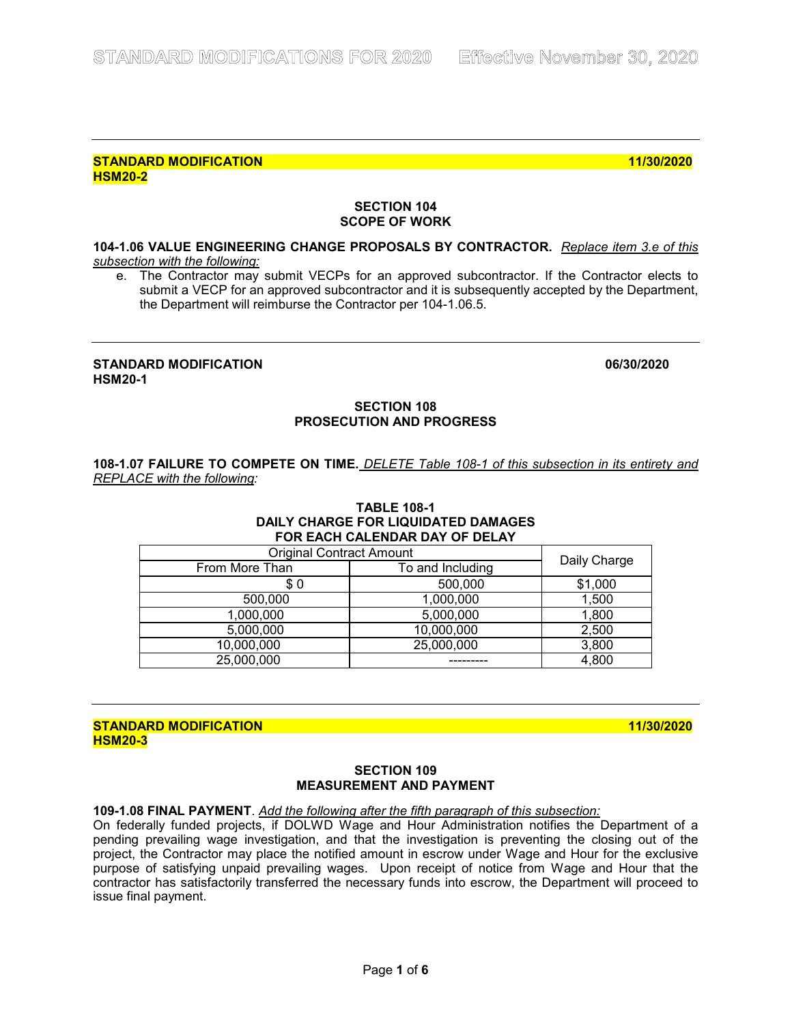## **SECTION 104 SCOPE OF WORK**

## **104-1.06 VALUE ENGINEERING CHANGE PROPOSALS BY CONTRACTOR.** *Replace item 3.e of this subsection with the following:*

e. The Contractor may submit VECPs for an approved subcontractor. If the Contractor elects to submit a VECP for an approved subcontractor and it is subsequently accepted by the Department, the Department will reimburse the Contractor per 104-1.06.5.

## **STANDARD MODIFICATION 06/30/2020 HSM20-1**

## **SECTION 108 PROSECUTION AND PROGRESS**

**108-1.07 FAILURE TO COMPETE ON TIME.** *DELETE Table 108-1 of this subsection in its entirety and REPLACE with the following:* 

### **TABLE 108-1 DAILY CHARGE FOR LIQUIDATED DAMAGES FOR EACH CALENDAR DAY OF DELAY**

| <b>Original Contract Amount</b> | Daily Charge     |         |  |
|---------------------------------|------------------|---------|--|
| From More Than                  | To and Including |         |  |
| \$0                             | 500,000          | \$1,000 |  |
| 500,000                         | 1,000,000        | 1,500   |  |
| 1,000,000                       | 5,000,000        | 1,800   |  |
| 5,000,000                       | 10,000,000       | 2,500   |  |
| 10,000,000                      | 25,000,000       | 3,800   |  |
| 25,000,000                      |                  | 4,800   |  |

## **STANDARD MODIFICATION 11/30/2020 HSM20-3**

## **SECTION 109 MEASUREMENT AND PAYMENT**

**109-1.08 FINAL PAYMENT**. *Add the following after the fifth paragraph of this subsection:* 

On federally funded projects, if DOLWD Wage and Hour Administration notifies the Department of a pending prevailing wage investigation, and that the investigation is preventing the closing out of the project, the Contractor may place the notified amount in escrow under Wage and Hour for the exclusive purpose of satisfying unpaid prevailing wages. Upon receipt of notice from Wage and Hour that the contractor has satisfactorily transferred the necessary funds into escrow, the Department will proceed to issue final payment.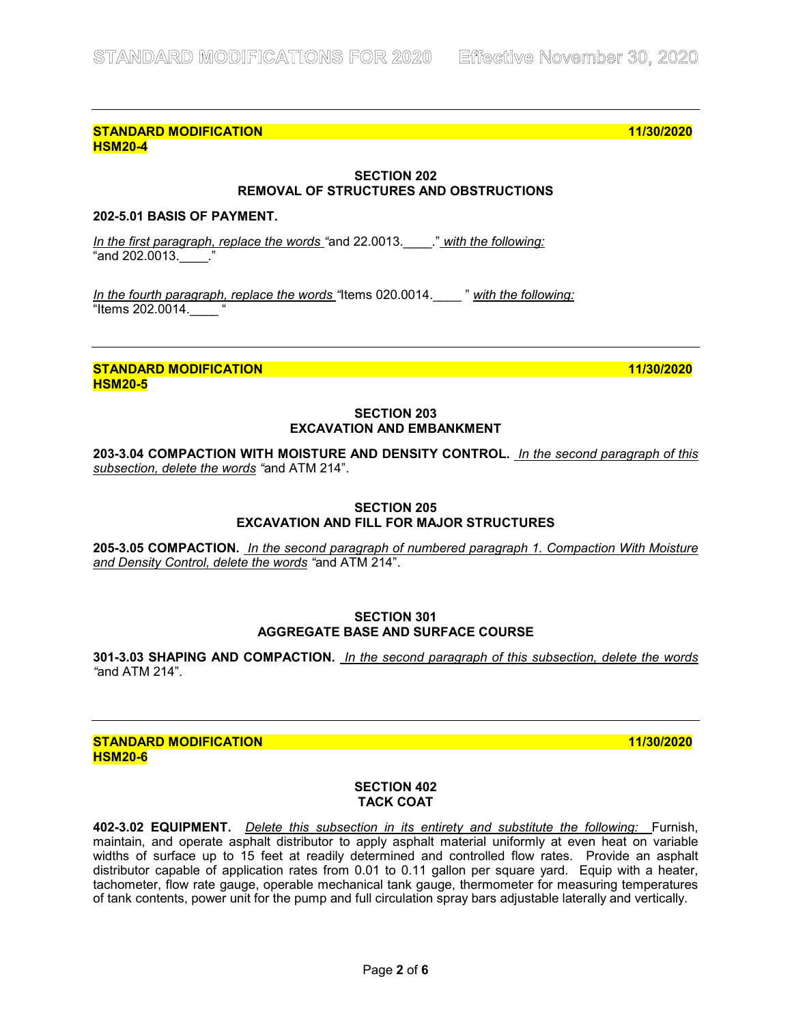## **SECTION 202 REMOVAL OF STRUCTURES AND OBSTRUCTIONS**

## **202-5.01 BASIS OF PAYMENT.**

*In the first paragraph, replace the words "*and 22.0013.\_\_\_\_." *with the following:*   $"$ and 202.0013.  $"$ .

*In the fourth paragraph, replace the words "*Items 020.0014.\_\_\_\_ " *with the following:*  "Items 202.0014.\_\_\_\_ "

**STANDARD MODIFICATION 11/30/2020 HSM20-5**

## **SECTION 203 EXCAVATION AND EMBANKMENT**

**203-3.04 COMPACTION WITH MOISTURE AND DENSITY CONTROL.** *In the second paragraph of this subsection, delete the words "*and ATM 214".

## **SECTION 205 EXCAVATION AND FILL FOR MAJOR STRUCTURES**

**205-3.05 COMPACTION.** *In the second paragraph of numbered paragraph 1. Compaction With Moisture and Density Control, delete the words "*and ATM 214".

#### **SECTION 301 AGGREGATE BASE AND SURFACE COURSE**

**301-3.03 SHAPING AND COMPACTION.** *In the second paragraph of this subsection, delete the words "*and ATM 214".

#### **STANDARD MODIFICATION 11/30/2020 HSM20-6**

## **SECTION 402 TACK COAT**

**402-3.02 EQUIPMENT.** *Delete this subsection in its entirety and substitute the following:* Furnish, maintain, and operate asphalt distributor to apply asphalt material uniformly at even heat on variable widths of surface up to 15 feet at readily determined and controlled flow rates. Provide an asphalt distributor capable of application rates from 0.01 to 0.11 gallon per square yard. Equip with a heater, tachometer, flow rate gauge, operable mechanical tank gauge, thermometer for measuring temperatures of tank contents, power unit for the pump and full circulation spray bars adjustable laterally and vertically.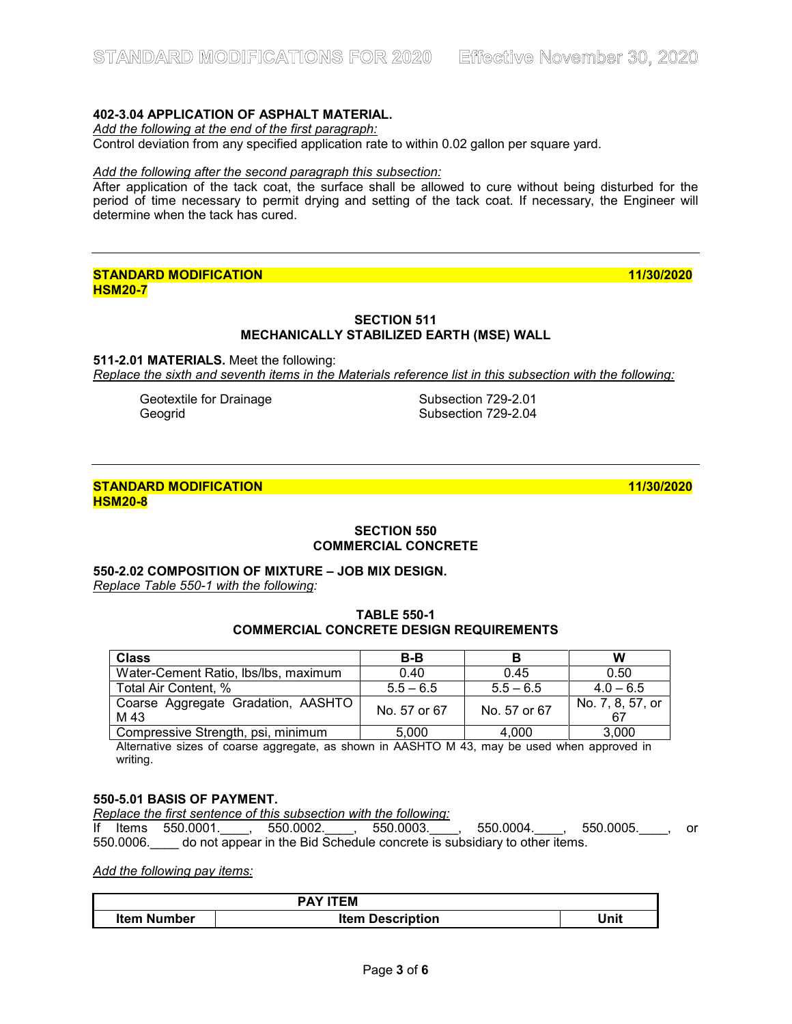## **402-3.04 APPLICATION OF ASPHALT MATERIAL.**

*Add the following at the end of the first paragraph:*

Control deviation from any specified application rate to within 0.02 gallon per square yard.

#### *Add the following after the second paragraph this subsection:*

After application of the tack coat, the surface shall be allowed to cure without being disturbed for the period of time necessary to permit drying and setting of the tack coat. If necessary, the Engineer will determine when the tack has cured.

## **STANDARD MODIFICATION 11/30/2020 HSM20-7**

## **SECTION 511 MECHANICALLY STABILIZED EARTH (MSE) WALL**

**511-2.01 MATERIALS.** Meet the following: *Replace the sixth and seventh items in the Materials reference list in this subsection with the following:*

Geotextile for Drainage Subsection 729-2.01<br>Geogrid Subsection 729-2.04

Subsection 729-2.04

## **STANDARD MODIFICATION 11/30/2020 HSM20-8**

**SECTION 550**

# **COMMERCIAL CONCRETE**

## **550-2.02 COMPOSITION OF MIXTURE – JOB MIX DESIGN.**

*Replace Table 550-1 with the following:*

#### **TABLE 550-1 COMMERCIAL CONCRETE DESIGN REQUIREMENTS**

| <b>Class</b>                               | $B-B$        |              | W                |
|--------------------------------------------|--------------|--------------|------------------|
| Water-Cement Ratio, Ibs/Ibs, maximum       | 0.40         | 0.45         | 0.50             |
| Total Air Content, %                       | $5.5 - 6.5$  | $5.5 - 6.5$  | $4.0 - 6.5$      |
| Coarse Aggregate Gradation, AASHTO<br>M 43 | No. 57 or 67 | No. 57 or 67 | No. 7, 8, 57, or |
| Compressive Strength, psi, minimum         | 5.000        | 4.000        | 3,000            |

Alternative sizes of coarse aggregate, as shown in AASHTO M 43, may be used when approved in writing.

#### **550-5.01 BASIS OF PAYMENT.**

*Replace the first sentence of this subsection with the following:*

If Items 550.0001.\_\_\_\_, 550.0002.\_\_\_\_, 550.0003.\_\_\_\_, 550.0004.\_\_\_\_, 550.0005.\_\_\_\_, or 550.0006. do not appear in the Bid Schedule concrete is subsidiary to other items.

## *Add the following pay items:*

| <b>PAY ITEM</b>    |                         |      |  |
|--------------------|-------------------------|------|--|
| <b>Item Number</b> | <b>Item Description</b> | Unit |  |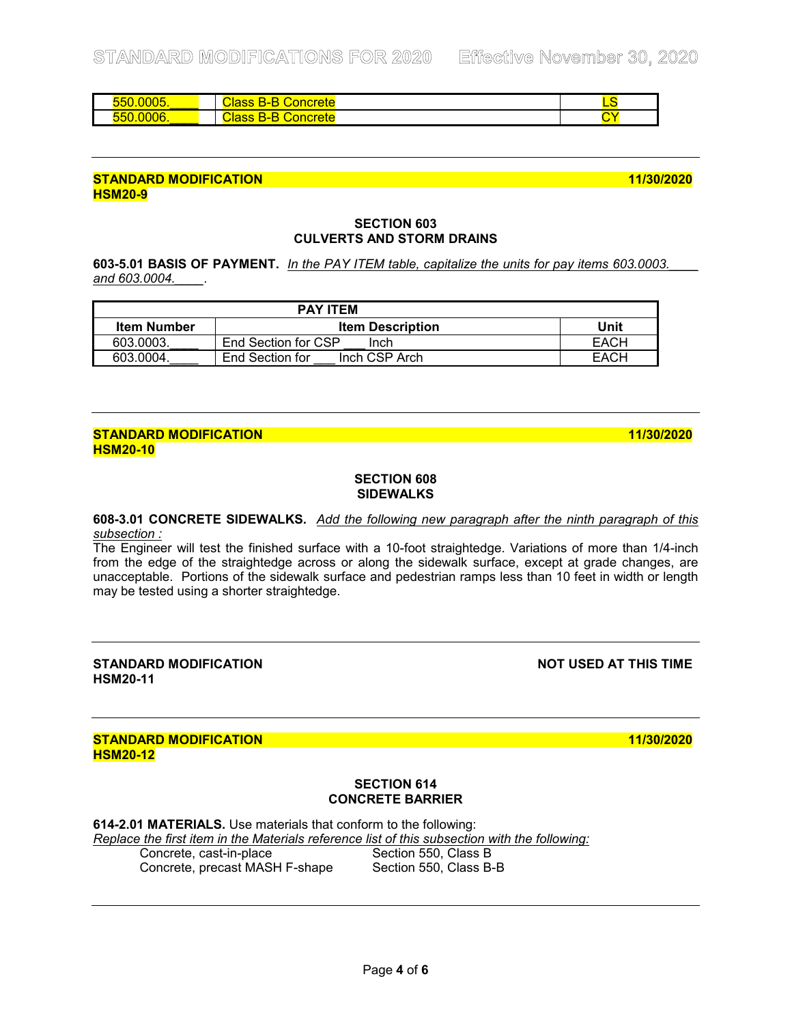| $\sim$ $\sim$ $\sim$ $\sim$<br><u> 100. </u> | −<br>oroto<br>oncrete<br>$\overline{\phantom{a}}$      |  |  |
|----------------------------------------------|--------------------------------------------------------|--|--|
| $\sim$ $\sim$<br>н                           | oroto<br>и<br>$\overline{\phantom{a}}$<br><u>ы ста</u> |  |  |
|                                              |                                                        |  |  |

#### **SECTION 603 CULVERTS AND STORM DRAINS**

**603-5.01 BASIS OF PAYMENT.** *In the PAY ITEM table, capitalize the units for pay items 603.0003.\_\_\_\_ and 603.0004.\_\_\_\_*.

| <b>PAY ITEM</b>    |                                  |      |
|--------------------|----------------------------------|------|
| <b>Item Number</b> | <b>Item Description</b>          | Unit |
| 603.0003.          | End Section for CSP<br>Inch      | EACH |
| 603.0004.          | Inch CSP Arch<br>End Section for | EACH |

## **STANDARD MODIFICATION 11/30/2020 HSM20-10**

#### **SECTION 608 SIDEWALKS**

**608-3.01 CONCRETE SIDEWALKS.** *Add the following new paragraph after the ninth paragraph of this subsection :*

The Engineer will test the finished surface with a 10-foot straightedge. Variations of more than 1/4-inch from the edge of the straightedge across or along the sidewalk surface, except at grade changes, are unacceptable. Portions of the sidewalk surface and pedestrian ramps less than 10 feet in width or length may be tested using a shorter straightedge.

**STANDARD MODIFICATION NOT USED AT THIS TIME HSM20-11**

## **STANDARD MODIFICATION 11/30/2020 HSM20-12**

## **SECTION 614 CONCRETE BARRIER**

**614-2.01 MATERIALS.** Use materials that conform to the following: *Replace the first item in the Materials reference list of this subsection with the following:* Concrete, cast-in-place Section 550, Class B<br>Concrete, precast MASH F-shape Section 550, Class B-B

Concrete, precast MASH F-shape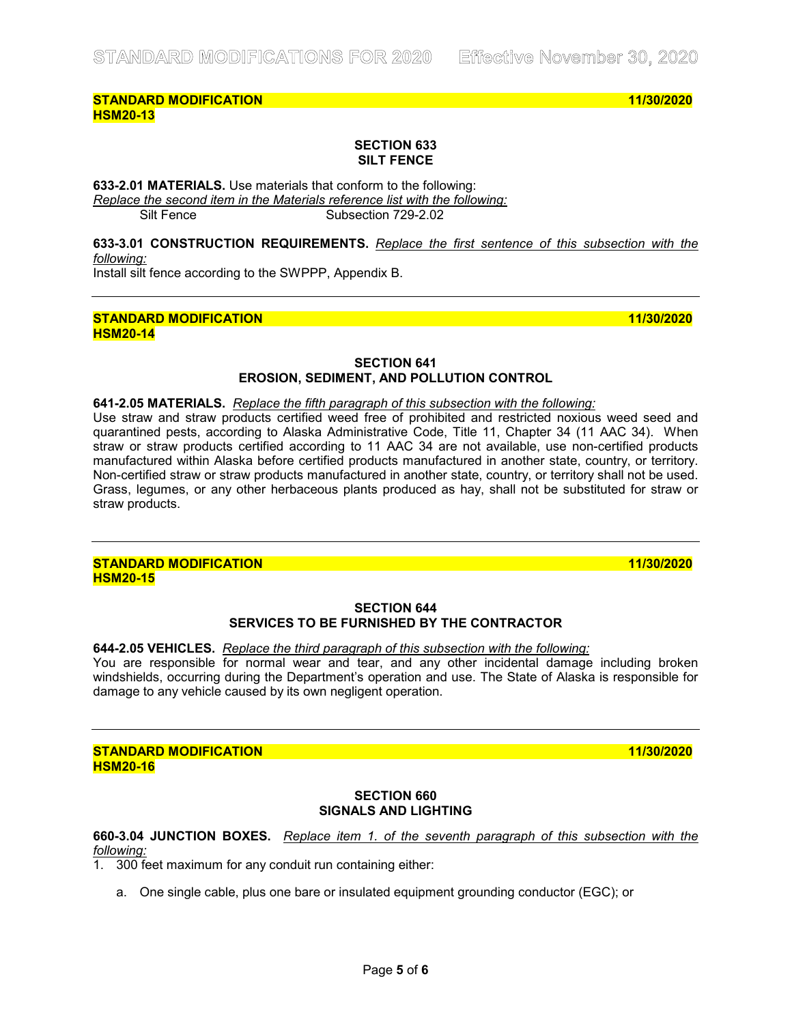#### **SECTION 633 SILT FENCE**

**633-2.01 MATERIALS.** Use materials that conform to the following: *Replace the second item in the Materials reference list with the following:* Silt Fence Subsection 729-2.02

**633-3.01 CONSTRUCTION REQUIREMENTS.** *Replace the first sentence of this subsection with the following:* 

Install silt fence according to the SWPPP, Appendix B.

#### **STANDARD MODIFICATION 11/30/2020 HSM20-14**

### **SECTION 641 EROSION, SEDIMENT, AND POLLUTION CONTROL**

**641-2.05 MATERIALS.** *Replace the fifth paragraph of this subsection with the following:*

Use straw and straw products certified weed free of prohibited and restricted noxious weed seed and quarantined pests, according to Alaska Administrative Code, Title 11, Chapter 34 (11 AAC 34). When straw or straw products certified according to 11 AAC 34 are not available, use non-certified products manufactured within Alaska before certified products manufactured in another state, country, or territory. Non-certified straw or straw products manufactured in another state, country, or territory shall not be used. Grass, legumes, or any other herbaceous plants produced as hay, shall not be substituted for straw or straw products.

#### **STANDARD MODIFICATION 11/30/2020 HSM20-15**

#### **SECTION 644 SERVICES TO BE FURNISHED BY THE CONTRACTOR**

#### **644-2.05 VEHICLES.** *Replace the third paragraph of this subsection with the following:*

You are responsible for normal wear and tear, and any other incidental damage including broken windshields, occurring during the Department's operation and use. The State of Alaska is responsible for damage to any vehicle caused by its own negligent operation.

#### **STANDARD MODIFICATION 11/30/2020 HSM20-16**

## **SECTION 660 SIGNALS AND LIGHTING**

## **660-3.04 JUNCTION BOXES.** *Replace item 1. of the seventh paragraph of this subsection with the following:*

1. 300 feet maximum for any conduit run containing either:

a. One single cable, plus one bare or insulated equipment grounding conductor (EGC); or